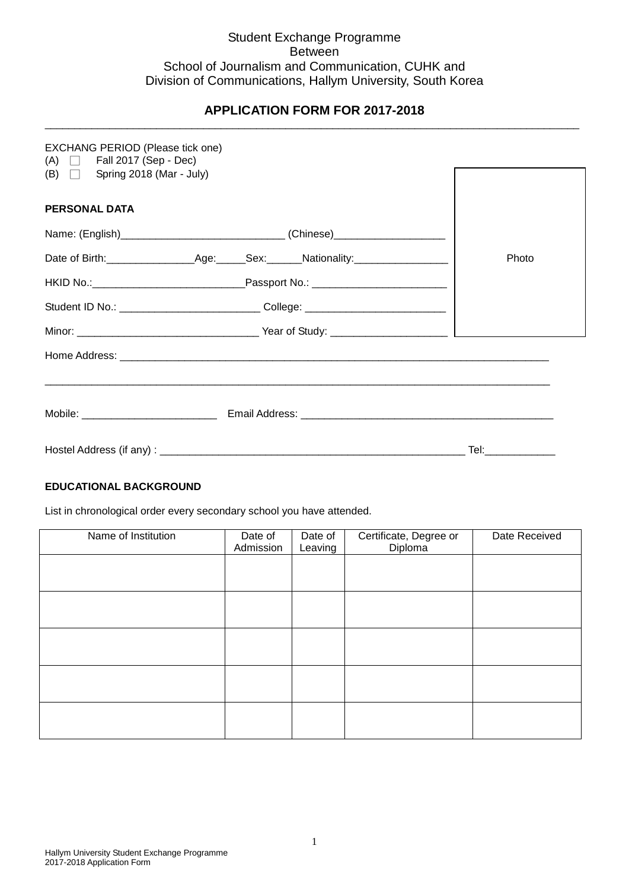# Student Exchange Programme Between School of Journalism and Communication, CUHK and Division of Communications, Hallym University, South Korea

#### **APPLICATION FORM FOR 2017-2018** \_\_\_\_\_\_\_\_\_\_\_\_\_\_\_\_\_\_\_\_\_\_\_\_\_\_\_\_\_\_\_\_\_\_\_\_\_\_\_\_\_\_\_\_\_\_\_\_\_\_\_\_\_\_\_\_\_\_\_\_\_\_\_\_\_\_\_\_\_\_\_\_\_\_\_\_\_\_\_\_\_\_\_\_\_\_\_\_\_\_\_

| <b>EXCHANG PERIOD (Please tick one)</b><br>$(A)$ $\Box$ Fall 2017 (Sep - Dec) |                                                                                  |                    |
|-------------------------------------------------------------------------------|----------------------------------------------------------------------------------|--------------------|
| (B) $\Box$ Spring 2018 (Mar - July)                                           |                                                                                  |                    |
| <b>PERSONAL DATA</b>                                                          |                                                                                  |                    |
|                                                                               | Name: (English)________________________________(Chinese)________________________ |                    |
|                                                                               |                                                                                  | Photo              |
|                                                                               |                                                                                  |                    |
|                                                                               | Student ID No.: ______________________________College: _________________________ |                    |
|                                                                               |                                                                                  |                    |
|                                                                               |                                                                                  |                    |
|                                                                               |                                                                                  |                    |
|                                                                               |                                                                                  |                    |
|                                                                               |                                                                                  | Tel:______________ |

### **EDUCATIONAL BACKGROUND**

List in chronological order every secondary school you have attended.

| Name of Institution | Date of<br>Admission | Date of<br>Leaving | Certificate, Degree or<br>Diploma | Date Received |
|---------------------|----------------------|--------------------|-----------------------------------|---------------|
|                     |                      |                    |                                   |               |
|                     |                      |                    |                                   |               |
|                     |                      |                    |                                   |               |
|                     |                      |                    |                                   |               |
|                     |                      |                    |                                   |               |
|                     |                      |                    |                                   |               |
|                     |                      |                    |                                   |               |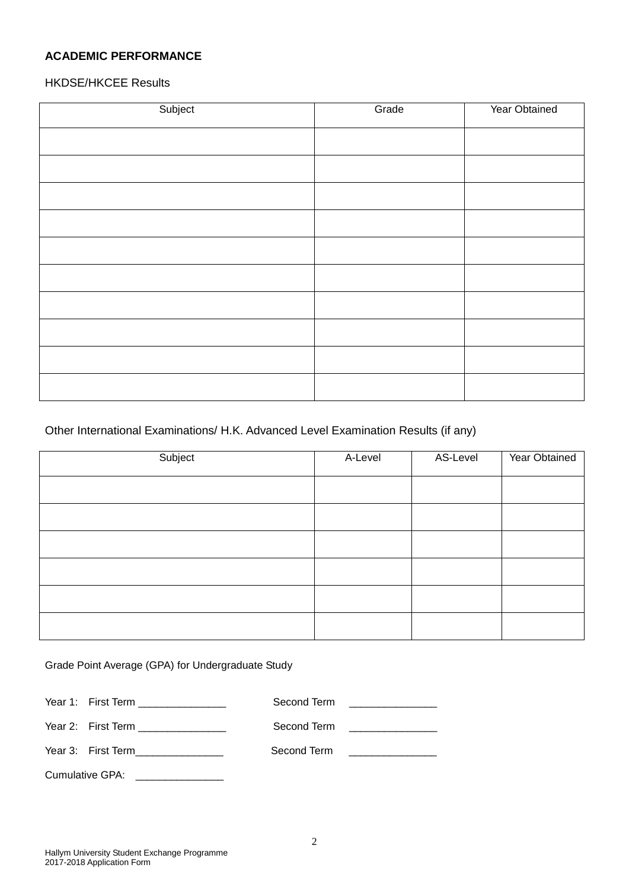# **ACADEMIC PERFORMANCE**

# HKDSE/HKCEE Results

| Subject | Grade | Year Obtained |
|---------|-------|---------------|
|         |       |               |
|         |       |               |
|         |       |               |
|         |       |               |
|         |       |               |
|         |       |               |
|         |       |               |
|         |       |               |
|         |       |               |
|         |       |               |
|         |       |               |

### Other International Examinations/ H.K. Advanced Level Examination Results (if any)

| Subject | A-Level | AS-Level | Year Obtained |
|---------|---------|----------|---------------|
|         |         |          |               |
|         |         |          |               |
|         |         |          |               |
|         |         |          |               |
|         |         |          |               |
|         |         |          |               |

Grade Point Average (GPA) for Undergraduate Study

| Year 1: First Term ________________ |             | Second Term <u>______________</u>     |
|-------------------------------------|-------------|---------------------------------------|
| Year 2: First Term ________________ |             | Second Term ________________          |
| Year 3: First Term_______________   | Second Term | <u> 1986 - Jan Barbarat, martin a</u> |
| <b>Cumulative GPA:</b>              |             |                                       |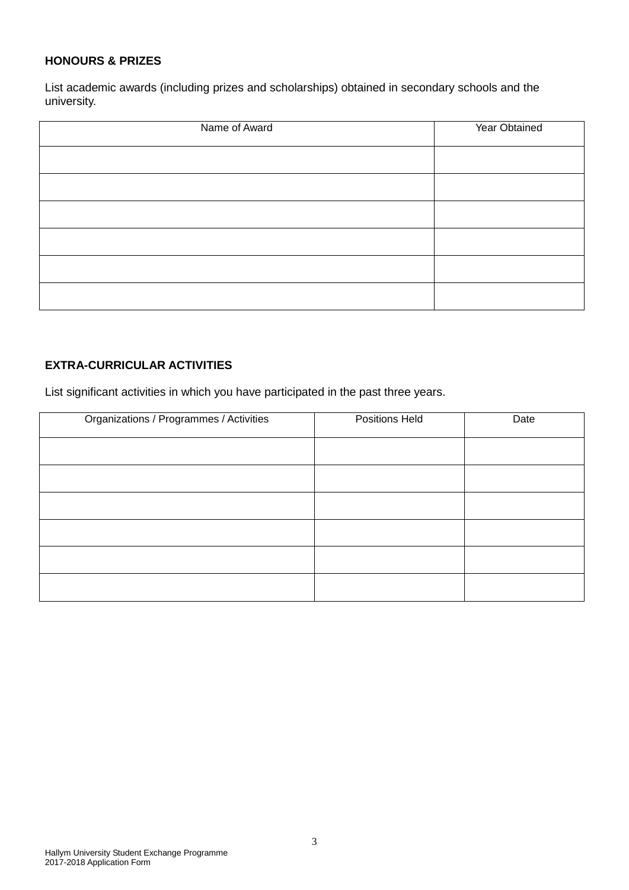### **HONOURS & PRIZES**

List academic awards (including prizes and scholarships) obtained in secondary schools and the university.

| Name of Award | Year Obtained |
|---------------|---------------|
|               |               |
|               |               |
|               |               |
|               |               |
|               |               |
|               |               |

# **EXTRA-CURRICULAR ACTIVITIES**

List significant activities in which you have participated in the past three years.

| Organizations / Programmes / Activities | Positions Held | Date |
|-----------------------------------------|----------------|------|
|                                         |                |      |
|                                         |                |      |
|                                         |                |      |
|                                         |                |      |
|                                         |                |      |
|                                         |                |      |